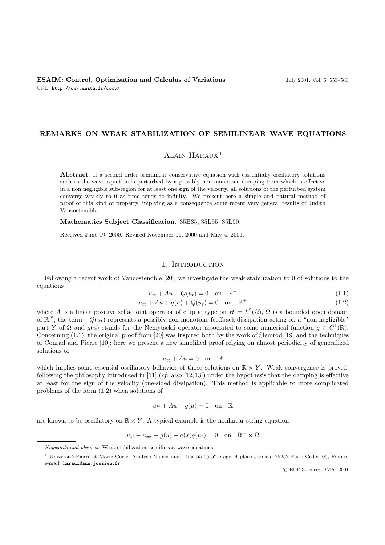### **REMARKS ON WEAK STABILIZATION OF SEMILINEAR WAVE EQUATIONS**

# Alain Haraux<sup>1</sup>

**Abstract**. If a second order semilinear conservative equation with esssentially oscillatory solutions such as the wave equation is perturbed by a possibly non monotone damping term which is effective in a non negligible sub-region for at least one sign of the velocity, all solutions of the perturbed system converge weakly to 0 as time tends to infinity. We present here a simple and natural method of proof of this kind of property, implying as a consequence some recent very general results of Judith Vancostenoble.

**Mathematics Subject Classification.** 35B35, 35L55, 35L90.

Received June 19, 2000. Revised November 11, 2000 and May 4, 2001.

### 1. INTRODUCTION

Following a recent work of Vancostenoble [20], we investigate the weak stabilization to 0 of solutions to the equations

$$
u_{tt} + Au + Q(u_t) = 0 \quad \text{on} \quad \mathbb{R}^+\tag{1.1}
$$

$$
u_{tt} + Au + g(u) + Q(u_t) = 0 \quad \text{on} \quad \mathbb{R}^+ \tag{1.2}
$$

where A is a linear positive selfadjoint operator of elliptic type on  $H = L^2(\Omega)$ ,  $\Omega$  is a bounded open domain<br>of  $\mathbb{R}^N$  the term  $-\Omega(u)$  represents a possibly non monotone feedback dissipation acting on a "non perlig of  $\mathbb{R}^N$ , the term  $-Q(u_t)$  represents a possibly non monotone feedback dissipation acting on a "non negligible" part Y of  $\overline{\Omega}$  and  $g(u)$  stands for the Nemytsckii operator associated to some numerical function  $g \in C^1(\mathbb{R})$ . Concerning (1.1), the original proof from [20] was inspired both by the work of Slemrod [19] and the techniques of Conrad and Pierre [10]; here we present a new simplified proof relying on almost periodicity of generalized solutions to

$$
u_{tt} + Au = 0 \quad \text{on} \quad \mathbb{R}
$$

which implies some essential oscillatory behavior of those solutions on  $\mathbb{R} \times Y$ . Weak convergence is proved, following the philosophy introduced in [11] (cf. also [12, 13]) under the hypothesis that the damning is eff following the philosophy introduced in [11] (*cf.* also [12, 13]) under the hypothesis that the damping is effective at least for one sign of the velocity (one-sided dissipation). This method is applicable to more complicated problems of the form (1.2) when solutions of

$$
u_{tt} + Au + g(u) = 0 \quad \text{on} \quad \mathbb{R}
$$

are known to be oscillatory on  $\mathbb{R} \times Y$ . A typical example is the nonlinear string equation

$$
u_{tt} - u_{xx} + g(u) + a(x)q(u_t) = 0 \quad \text{on} \quad \mathbb{R}^+ \times \Omega
$$

c EDP Sciences, SMAI 2001

Keywords and phrases: Weak stabilization, semilinear, wave equations.

<sup>&</sup>lt;sup>1</sup> Université Pierre et Marie Curie, Analyse Numérique, Tour 55-65 5<sup>e</sup> étage, 4 place Jussieu, 75252 Paris Cedex 05, France; e-mail: haraux@ann.jussieu.fr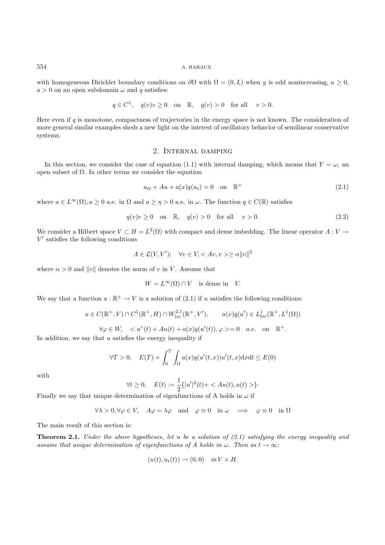#### 554 A. HARAUX

with homogeneous Dirichlet boundary conditions on  $\partial\Omega$  with  $\Omega = (0, L)$  when g is odd nonincreasing,  $a \geq 0$ ,  $a > 0$  on an open subdomain  $\omega$  and q satisfies:

$$
q \in C^1
$$
,  $q(v)v \ge 0$  on  $\mathbb{R}$ ,  $q(v) > 0$  for all  $v > 0$ .

Here even if q is monotone, compactness of trajectories in the energy space is not known. The consideration of more general similar examples sheds a new light on the interest of oscillatory behavior of semilinear conservative systems.

### 2. Internal damping

In this section, we consider the case of equation (1.1) with internal damping, which means that  $Y = \omega$ , an open subset of Ω. In other terms we consider the equation

$$
u_{tt} + Au + a(x)q(u_t) = 0 \text{ on } \mathbb{R}^+ \tag{2.1}
$$

where  $a \in L^{\infty}(\Omega)$ ,  $a > 0$  a.e. in  $\Omega$  and  $a > \eta > 0$  a.e. in  $\omega$ . The function  $q \in C(\mathbb{R})$  satisfies

$$
q(v)v \ge 0 \quad \text{on} \quad \mathbb{R}, \quad q(v) > 0 \quad \text{for all} \quad v > 0. \tag{2.2}
$$

We consider a Hilbert space  $V \subset H = L^2(\Omega)$  with compact and dense imbedding. The linear operator  $A: V \to$  $V'$  satisfies the following conditions

$$
A \in \mathcal{L}(V, V'); \quad \forall v \in V, \langle Av, v \rangle \ge \alpha ||v||^2
$$

where  $\alpha > 0$  and  $||v||$  denotes the norm of v in V. Assume that

$$
W = L^{\infty}(\Omega) \cap V \quad \text{is dense in} \quad V.
$$

We say that a function  $u : \mathbb{R}^+ \to V$  is a solution of (2.1) if u satisfies the following conditions:

$$
u \in C(\mathbb{R}^+, V) \cap C^1(\mathbb{R}^+, H) \cap W^{2,1}_{loc}(\mathbb{R}^+, V'), \qquad a(x)q(u') \in L^1_{loc}(\mathbb{R}^+, L^1(\Omega))
$$

 $\forall \varphi \in W, \quad \langle u''(t) + Au(t) + a(x)q(u'(t)), \varphi \rangle = 0 \quad a.e. \quad \text{on} \quad \mathbb{R}^+.$ 

In addition, we say that  $u$  satisfies the energy inequality if

$$
\forall T > 0, \quad E(T) + \int_0^T \int_{\Omega} a(x) q(u'(t, x)) u'(t, x) \mathrm{d}x \mathrm{d}t \le E(0)
$$

with

$$
\forall t \ge 0, \quad E(t) := \frac{1}{2} \{|u'|^2(t) + \langle Au(t), u(t) \rangle\}.
$$

Finally we say that unique determination of eigenfunctions of A holds in  $\omega$  if

$$
\forall \lambda > 0, \forall \varphi \in V, \quad A\varphi = \lambda \varphi \quad \text{and} \quad \varphi \equiv 0 \quad \text{in } \omega \quad \Longrightarrow \quad \varphi \equiv 0 \quad \text{in } \Omega
$$

The main result of this section is:

**Theorem 2.1.** *Under the above hypotheses, let* u *be a solution of (2.1) satisfying the energy inequality and assume that unique determination of eigenfunctions of A holds in*  $\omega$ *. Then as*  $t \to \infty$ *:* 

$$
(u(t), u_t(t)) \rightharpoonup (0,0) \quad in \, V \times H.
$$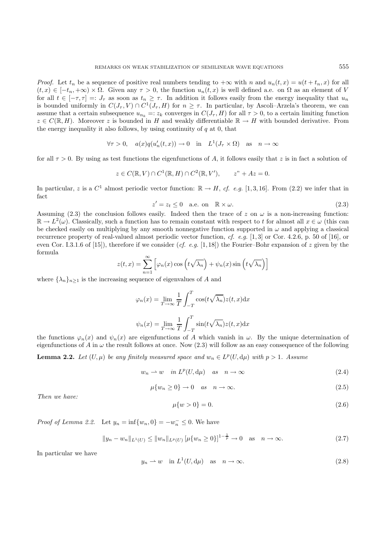*Proof.* Let  $t_n$  be a sequence of positive real numbers tending to  $+\infty$  with n and  $u_n(t, x) = u(t + t_n, x)$  for all  $(t, x) \in [-t_n, +\infty) \times \Omega$ . Given any  $\tau > 0$ , the function  $u_n(t, x)$  is well defined a.e. on  $\Omega$  as an element of V for all  $t \in [-\tau, \tau] =: J_{\tau}$  as soon as  $t_n \geq \tau$ . In addition it follows easily from the energy inequality that  $u_n$ is bounded uniformly in  $C(J_\tau, V) \cap C^1(J_\tau, H)$  for  $n \geq \tau$ . In particular, by Ascoli–Arzela's theorem, we can assume that a certain subsequence  $u_{n_k} =: z_k$  converges in  $C(J_\tau, H)$  for all  $\tau > 0$ , to a certain limiting function  $z \in C(\mathbb{R}, H)$ . Moreover z is bounded in H and weakly differentiable  $\mathbb{R} \to H$  with bounded derivative. From the energy inequality it also follows, by using continuity of  $q$  at 0, that

$$
\forall \tau > 0, \quad a(x)q(u'_n(t, x)) \to 0 \quad \text{in} \quad L^1(J_\tau \times \Omega) \quad \text{as} \quad n \to \infty
$$

for all  $\tau > 0$ . By using as test functions the eigenfunctions of A, it follows easily that z is in fact a solution of

$$
z \in C(\mathbb{R}, V) \cap C^1(\mathbb{R}, H) \cap C^2(\mathbb{R}, V'), \qquad z'' + Az = 0.
$$

In particular, z is a  $C^1$  almost periodic vector function:  $\mathbb{R} \to H$ , *cf. e.g.* [1, 3, 16]. From (2.2) we infer that in fact

$$
z' = z_t \le 0 \quad \text{a.e. on } \mathbb{R} \times \omega. \tag{2.3}
$$

Assuming (2.3) the conclusion follows easily. Indeed then the trace of z on  $\omega$  is a non-increasing function:<br> $\mathbb{R} \to L^2(\omega)$ . Classically such a function has to remain constant with respect to t for almost all  $x \in \omega$   $\mathbb{R} \to L^2(\omega)$ . Classically, such a function has to remain constant with respect to t for almost all  $x \in \omega$  (this can be checked easily on multiplying by any smooth nonnegative function supported in  $\omega$  and applying a classical recurrence property of real-valued almost periodic vector function, *cf. e.g.* [1, 3] or Cor. 4.2.6, p. 50 of [16], or even Cor. I.3.1.6 of [15]), therefore if we consider  $(cf. e.g.$  [1,18]) the Fourier–Bohr expansion of z given by the formula

$$
z(t,x) = \sum_{n=1}^{\infty} \left[ \varphi_n(x) \cos\left(t\sqrt{\lambda_n}\right) + \psi_n(x) \sin\left(t\sqrt{\lambda_n}\right) \right]
$$

where  $\{\lambda_n\}_{n\geq 1}$  is the increasing sequence of eigenvalues of A and

$$
\varphi_n(x) = \lim_{T \to \infty} \frac{1}{T} \int_{-T}^T \cos(t\sqrt{\lambda_n}) z(t, x) dx
$$

$$
\psi_n(x) = \lim_{T \to \infty} \frac{1}{T} \int_{-T}^T \sin(t\sqrt{\lambda_n}) z(t, x) dx
$$

the functions  $\varphi_n(x)$  and  $\psi_n(x)$  are eigenfunctions of A which vanish in  $\omega$ . By the unique determination of eigenfunctions of A in  $\omega$  the result follows at once. Now (2.3) will follow as an easy consequence of the f eigenfunctions of A in  $\omega$  the result follows at once. Now (2.3) will follow as an easy consequence of the following

**Lemma 2.2.** *Let*  $(U, \mu)$  *be any finitely measured space and*  $w_n \in L^p(U, d\mu)$  *with*  $p > 1$ *. Assume* 

$$
w_n \rightharpoonup w \quad in \ L^p(U, d\mu) \quad as \quad n \to \infty \tag{2.4}
$$

$$
\mu\{w_n \ge 0\} \to 0 \quad \text{as} \quad n \to \infty. \tag{2.5}
$$

*Then we have:*

$$
\mu\{w > 0\} = 0.\tag{2.6}
$$

*Proof of Lemma 2.2.* Let  $y_n = \inf\{w_n, 0\} = -w_n^- \leq 0$ . We have

$$
||y_n - w_n||_{L^1(U)} \le ||w_n||_{L^p(U)} \left[\mu\{w_n \ge 0\}\right]^{1 - \frac{1}{p}} \to 0 \quad \text{as} \quad n \to \infty. \tag{2.7}
$$

In particular we have

$$
y_n \rightharpoonup w
$$
 in  $L^1(U, d\mu)$  as  $n \to \infty$ . (2.8)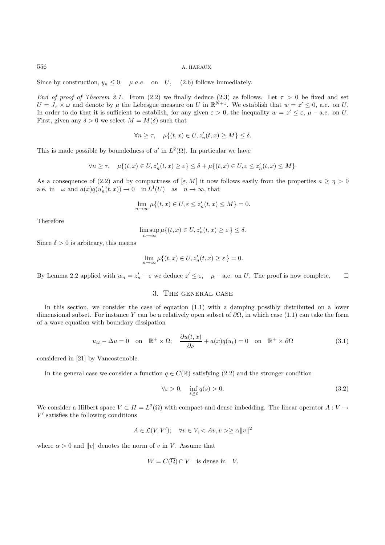Since by construction,  $y_n \leq 0$ ,  $\mu.a.e.$  on U, (2.6) follows immediately.

*End of proof of Theorem 2.1.* From (2.2) we finally deduce (2.3) as follows. Let  $\tau > 0$  be fixed and set  $U = J_{\tau} \times \omega$  and denote by  $\mu$  the Lebesgue measure on U in  $\mathbb{R}^{\dot{N}+1}$ . We establish that  $w = z' \leq 0$ , a.e. on U. In order to do that it is sufficient to establish, for any given  $\varepsilon > 0$ , the inequality  $w = z' \leq \varepsilon$ ,  $\mu$  – a.e. on U. First, given any  $\delta > 0$  we select  $M = M(\delta)$  such that

$$
\forall n \ge \tau, \quad \mu\{(t, x) \in U, z'_n(t, x) \ge M\} \le \delta.
$$

This is made possible by boundedness of u' in  $L^2(\Omega)$ . In particular we have

$$
\forall n \geq \tau, \quad \mu\{(t,x) \in U, z_n'(t,x) \geq \varepsilon\} \leq \delta + \mu\{(t,x) \in U, \varepsilon \leq z_n'(t,x) \leq M\}.
$$

As a consequence of (2.2) and by compactness of  $[\varepsilon, M]$  it now follows easily from the properties  $a \geq \eta > 0$ a.e. in  $\omega$  and  $a(x)q(u'_n(t,x)) \to 0$  in  $L^1(U)$  as  $n \to \infty$ , that

$$
\lim_{n \to \infty} \mu \{(t, x) \in U, \varepsilon \le z'_n(t, x) \le M\} = 0.
$$

Therefore

$$
\limsup_{n \to \infty} \mu \{(t, x) \in U, z'_n(t, x) \ge \varepsilon \} \le \delta.
$$

Since  $\delta > 0$  is arbitrary, this means

$$
\lim_{n \to \infty} \mu \{(t, x) \in U, z'_n(t, x) \ge \varepsilon \} = 0.
$$

By Lemma 2.2 applied with  $w_n = z'_n - \varepsilon$  we deduce  $z' \leq \varepsilon$ ,  $\mu$  – a.e. on U. The proof is now complete.  $\square$ 

## 3. The general case

In this section, we consider the case of equation (1.1) with a damping possibly distributed on a lower dimensional subset. For instance Y can be a relatively open subset of  $\partial\Omega$ , in which case (1.1) can take the form of a wave equation with boundary dissipation

$$
u_{tt} - \Delta u = 0 \quad \text{on} \quad \mathbb{R}^+ \times \Omega; \quad \frac{\partial u(t, x)}{\partial \nu} + a(x)q(u_t) = 0 \quad \text{on} \quad \mathbb{R}^+ \times \partial \Omega \tag{3.1}
$$

considered in [21] by Vancostenoble.

In the general case we consider a function  $q \in C(\mathbb{R})$  satisfying (2.2) and the stronger condition

$$
\forall \varepsilon > 0, \quad \inf_{s \ge \varepsilon} q(s) > 0. \tag{3.2}
$$

We consider a Hilbert space  $V \subset H = L^2(\Omega)$  with compact and dense imbedding. The linear operator  $A: V \to$  $V'$  satisfies the following conditions

$$
A \in \mathcal{L}(V, V'); \quad \forall v \in V, \langle Av, v \rangle \ge \alpha ||v||^2
$$

where  $\alpha > 0$  and  $||v||$  denotes the norm of v in V. Assume that

$$
W = C(\overline{\Omega}) \cap V \quad \text{is dense in} \quad V.
$$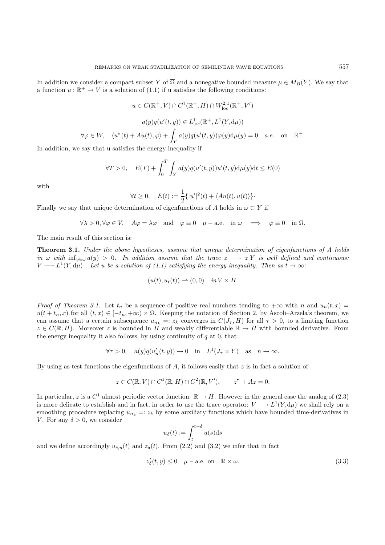In addition we consider a compact subset Y of  $\overline{\Omega}$  and a nonegative bounded measure  $\mu \in M_B(Y)$ . We say that a function  $u : \mathbb{R}^+ \to V$  is a solution of (1.1) if u satisfies the following conditions:

$$
u \in C(\mathbb{R}^+, V) \cap C^1(\mathbb{R}^+, H) \cap W_{\text{loc}}^{2,1}(\mathbb{R}^+, V')
$$

$$
a(y)q(u'(t, y)) \in L^1_{\text{loc}}(\mathbb{R}^+, L^1(Y, d\mu))
$$

$$
\forall \varphi \in W, \quad \langle u''(t) + Au(t), \varphi \rangle + \int_Y a(y)q(u'(t, y))\varphi(y)d\mu(y) = 0 \quad a.e. \quad \text{on} \quad \mathbb{R}^+.
$$

In addition, we say that u satisfies the energy inequality if

$$
\forall T > 0, \quad E(T) + \int_0^T \int_Y a(y) q(u'(t, y)) u'(t, y) d\mu(y) dt \le E(0)
$$

with

$$
\forall t \ge 0, \quad E(t) := \frac{1}{2} \{ |u'|^2(t) + \langle Au(t), u(t) \rangle \}.
$$

Finally we say that unique determination of eigenfunctions of A holds in  $\omega \subset Y$  if

 $\forall \lambda > 0, \forall \varphi \in V$ ,  $A\varphi = \lambda \varphi$  and  $\varphi \equiv 0$   $\mu - a.e.$  in  $\omega \implies \varphi \equiv 0$  in  $\Omega$ .

The main result of this section is:

**Theorem 3.1.** *Under the above hypotheses, assume that unique determination of eigenfunctions of A holds in*  $\omega$  *with*  $\inf_{y \in \omega} a(y) > 0$ . In addition assume that the trace  $z \rightarrow z|Y$  is well defined and continuous:  $V \longrightarrow L^{1}(Y, d\mu)$  *. Let u be a solution of (1.1) satisfying the energy inequality. Then as*  $t \to \infty$ *:* 

$$
(u(t), u_t(t)) \rightharpoonup (0,0) \quad in \, V \times H.
$$

*Proof of Theorem 3.1.* Let  $t_n$  be a sequence of positive real numbers tending to  $+\infty$  with n and  $u_n(t, x) =$  $u(t + t_n, x)$  for all  $(t, x) \in [-t_n, +\infty) \times \Omega$ . Keeping the notation of Section 2, by Ascoli–Arzela's theorem, we can assume that a certain subsequence  $u_{n_k} =: z_k$  converges in  $C(J_\tau, H)$  for all  $\tau > 0$ , to a limiting function  $z \in C(\mathbb{R}, H)$ . Moreover z is bounded in H and weakly differentiable  $\mathbb{R} \to H$  with bounded derivative. From the energy inequality it also follows, by using continuity of  $q$  at  $0$ , that

$$
\forall \tau > 0, \quad a(y)q(u'_n(t, y)) \to 0 \quad \text{in} \quad L^1(J_\tau \times Y) \quad \text{as} \quad n \to \infty.
$$

By using as test functions the eigenfunctions of A, it follows easily that  $z$  is in fact a solution of

$$
z \in C(\mathbb{R}, V) \cap C^1(\mathbb{R}, H) \cap C^2(\mathbb{R}, V'), \qquad z'' + Az = 0.
$$

In particular, z is a  $C^1$  almost periodic vector function:  $\mathbb{R} \to H$ . However in the general case the analog of (2.3) is more delicate to establish and in fact, in order to use the trace operator:  $V \longrightarrow L^1(Y, d\mu)$  we shall rely on a smoothing procedure replacing  $u_{n_k} =: z_k$  by some auxiliary functions which have bounded time-derivatives in V. For any  $\delta > 0$ , we consider

$$
u_{\delta}(t) := \int_{t}^{t+\delta} u(s) \mathrm{d}s
$$

and we define accordingly  $u_{\delta,n}(t)$  and  $z_{\delta}(t)$ . From (2.2) and (3.2) we infer that in fact

$$
z'_{\delta}(t, y) \le 0 \quad \mu-\text{a.e. on} \quad \mathbb{R} \times \omega. \tag{3.3}
$$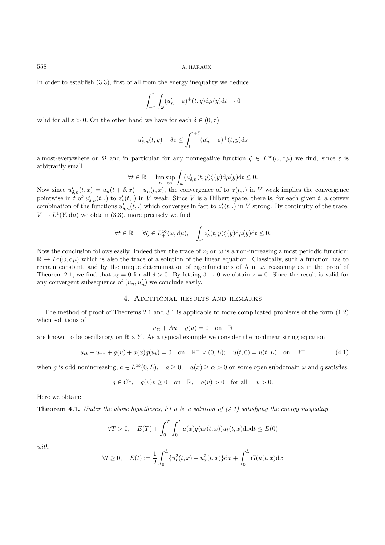558 A. HARAUX

In order to establish (3.3), first of all from the energy inequality we deduce

$$
\int_{-\tau}^{\tau} \int_{\omega} (u'_n - \varepsilon)^{+}(t, y) d\mu(y) dt \to 0
$$

valid for all  $\varepsilon > 0$ . On the other hand we have for each  $\delta \in (0, \tau)$ 

$$
u'_{\delta,n}(t,y) - \delta \varepsilon \le \int_{t}^{t+\delta} (u'_n - \varepsilon)^{+}(t,y) \mathrm{d} s
$$

almost-everywhere on  $\Omega$  and in particular for any nonnegative function  $\zeta \in L^{\infty}(\omega, d\mu)$  we find, since  $\varepsilon$  is arbitrarily small

$$
\forall t \in \mathbb{R}, \quad \limsup_{n \to \infty} \int_{\omega} (u'_{\delta,n}(t, y)\zeta(y) d\mu(y)dt \le 0.
$$

Now since  $u'_{\delta,n}(t,x) = u_n(t+\delta,x) - u_n(t,x)$ , the convergence of to  $z(t,.)$  in V weak implies the convergence<br>pointwise in t of  $u'_{\delta,n}(t)$  to  $z'(t)$  in V work. Since V is a Hilbert space, there is for each given t a convex pointwise in t of  $u'_{\delta,n}(t,.)$  to  $z'_{\delta}(t,.)$  in V weak. Since V is a Hilbert space, there is, for each given t, a convex<br>combination of the functions  $u'_{\delta,n}(t,.)$  which convexes in fact to  $z'(t,.)$  in V strong. By continu combination of the functions  $u'_{\delta,n}(t,.)$  which converges in fact to  $z'_{\delta}(t,.)$  in V strong. By continuity of the trace:<br> $V_{\delta,n}(t)$  are obtain (2.2) more precisely we find  $V \to L^1(Y, d\mu)$  we obtain (3.3), more precisely we find

$$
\forall t \in \mathbb{R}, \quad \forall \zeta \in L^{\infty}_{+}(\omega, d\mu), \quad \int_{\omega} z_{\delta}'(t, y) \zeta(y) d\mu(y) dt \leq 0.
$$

Now the conclusion follows easily. Indeed then the trace of  $z_{\delta}$  on  $\omega$  is a non-increasing almost periodic function:  $\mathbb{R} \to L^1(\omega, d\mu)$  which is also the trace of a solution of the linear equation. Classically, such a function has to remain constant, and by the unique determination of eigenfunctions of A in  $\omega$ , reasoning as in the proof of Theorem 2.1, we find that  $z_{\delta} = 0$  for all  $\delta > 0$ . By letting  $\delta \to 0$  we obtain  $z = 0$ . Since the result is valid for any convergent subsequence of  $(u_n, u'_n)$  we conclude easily.

# 4. Additional results and remarks

The method of proof of Theorems 2.1 and 3.1 is applicable to more complicated problems of the form (1.2) when solutions of

$$
u_{tt} + Au + g(u) = 0 \quad \text{on} \quad \mathbb{R}
$$

are known to be oscillatory on  $\mathbb{R} \times Y$ . As a typical example we consider the nonlinear string equation

$$
u_{tt} - u_{xx} + g(u) + a(x)q(u_t) = 0 \quad \text{on} \quad \mathbb{R}^+ \times (0, L); \quad u(t, 0) = u(t, L) \quad \text{on} \quad \mathbb{R}^+ \tag{4.1}
$$

when g is odd nonincreasing,  $a \in L^{\infty}(0, L)$ ,  $a \ge 0$ ,  $a(x) \ge \alpha > 0$  on some open subdomain  $\omega$  and q satisfies:

$$
q \in C^1
$$
,  $q(v)v \ge 0$  on  $\mathbb{R}$ ,  $q(v) > 0$  for all  $v > 0$ .

Here we obtain:

**Theorem 4.1.** *Under the above hypotheses, let* u *be a solution of (4.1) satisfying the energy inequality*

$$
\forall T > 0, \quad E(T) + \int_0^T \int_0^L a(x)q(u_t(t,x))u_t(t,x) \mathrm{d}x \mathrm{d}t \le E(0)
$$

*with*

$$
\forall t \ge 0, \quad E(t) := \frac{1}{2} \int_0^L \{u_t^2(t, x) + u_x^2(t, x)\} dx + \int_0^L G(u(t, x) dx)
$$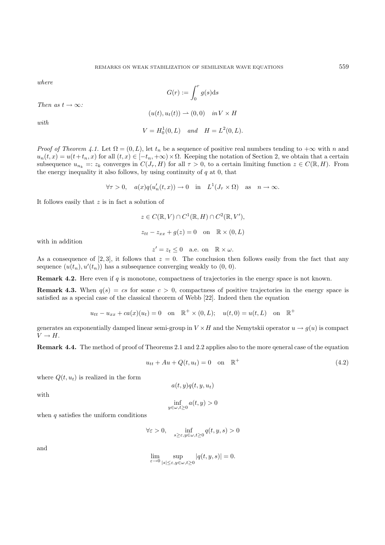*where*

$$
G(r):=\int_0^r g(s)\mathrm{d} s
$$

 $(u(t), u_t(t)) \rightharpoonup (0, 0)$  *in*  $V \times H$ 

*with*

*Then as*  $t \to \infty$ *:* 

$$
V = H_0^1(0, L) \quad and \quad H = L^2(0, L).
$$

*Proof of Theorem 4.1.* Let  $\Omega = (0, L)$ , let  $t_n$  be a sequence of positive real numbers tending to  $+\infty$  with n and  $u_n(t, x) = u(t+t_n, x)$  for all  $(t, x) \in [-t_n, +\infty) \times \Omega$ . Keeping the notation of Section 2, we obtain that a certain subsequence  $u_{n_k} =: z_k$  converges in  $C(J_\tau, H)$  for all  $\tau > 0$ , to a certain limiting function  $z \in C(\mathbb{R}, H)$ . From the energy inequality it also follows, by using continuity of  $q$  at 0, that

$$
\forall \tau > 0, \quad a(x)q(u'_n(t, x)) \to 0 \quad \text{in} \quad L^1(J_\tau \times \Omega) \quad \text{as} \quad n \to \infty.
$$

It follows easily that  $z$  is in fact a solution of

$$
z \in C(\mathbb{R}, V) \cap C^1(\mathbb{R}, H) \cap C^2(\mathbb{R}, V'),
$$
  

$$
z_{tt} - z_{xx} + g(z) = 0 \text{ on } \mathbb{R} \times (0, L)
$$

with in addition

$$
z' = z_t \le 0 \quad \text{a.e. on} \quad \mathbb{R} \times \omega.
$$

As a consequence of [2, 3], it follows that  $z = 0$ . The conclusion then follows easily from the fact that any sequence  $(u(t), u'(t))$  has a subsequence converging weakly to  $(0, 0)$ sequence  $(u(t_n), u'(t_n))$  has a subsequence converging weakly to  $(0, 0)$ .

**Remark 4.2.** Here even if q is monotone, compactness of trajectories in the energy space is not known.

**Remark 4.3.** When  $q(s) = cs$  for some  $c > 0$ , compactness of positive trajectories in the energy space is satisfied as a special case of the classical theorem of Webb [22]. Indeed then the equation

$$
u_{tt} - u_{xx} + ca(x)(u_t) = 0
$$
 on  $\mathbb{R}^+ \times (0, L);$   $u(t, 0) = u(t, L)$  on  $\mathbb{R}^+$ 

generates an exponentially damped linear semi-group in  $V \times H$  and the Nemytskii operator  $u \to g(u)$  is compact  $V \rightarrow H$ .

**Remark 4.4.** The method of proof of Theorems 2.1 and 2.2 applies also to the more qeneral case of the equation

$$
u_{tt} + Au + Q(t, u_t) = 0 \quad \text{on} \quad \mathbb{R}^+\tag{4.2}
$$

where  $Q(t, u_t)$  is realized in the form

$$
a(t,y)q(t,y,u_t)
$$

with

$$
\inf_{y \in \omega, t \ge 0} a(t, y) > 0
$$

when  $q$  satisfies the uniform conditions

$$
\forall \varepsilon >0, \quad \inf_{s \geq \varepsilon, y \in \omega, t \geq 0} q(t, y, s) >0
$$

and

$$
\lim_{\varepsilon\to 0}\sup_{|s|\leq \varepsilon, y\in \omega, t\geq 0}|q(t,y,s)|=0.
$$